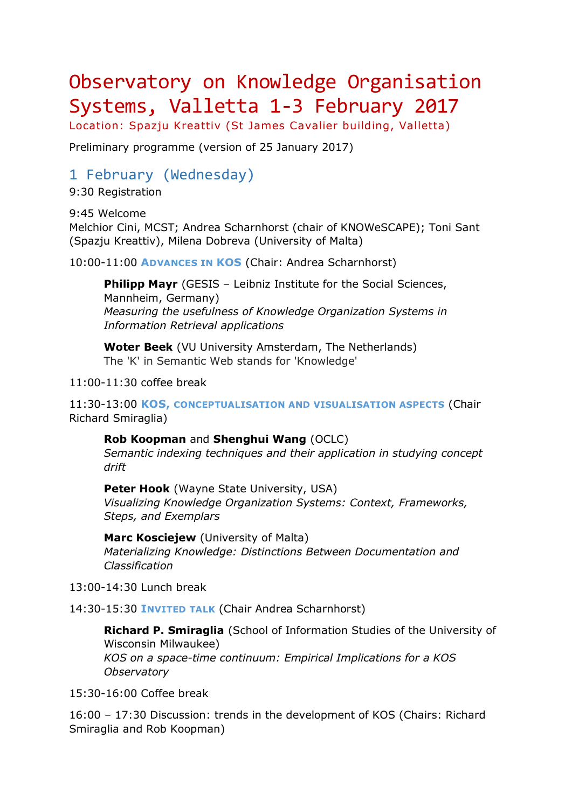## Observatory on Knowledge Organisation Systems, Valletta 1-3 February 2017

Location: Spazju Kreattiv (St James Cavalier building, Valletta)

Preliminary programme (version of 25 January 2017)

## 1 February (Wednesday)

9:30 Registration

9:45 Welcome Melchior Cini, MCST; Andrea Scharnhorst (chair of KNOWeSCAPE); Toni Sant (Spazju Kreattiv), Milena Dobreva (University of Malta)

10:00-11:00 **ADVANCES IN KOS** (Chair: Andrea Scharnhorst)

**Philipp Mayr** (GESIS - Leibniz Institute for the Social Sciences, Mannheim, Germany) *Measuring the usefulness of Knowledge Organization Systems in Information Retrieval applications*

**Woter Beek** (VU University Amsterdam, The Netherlands) The 'K' in Semantic Web stands for 'Knowledge'

11:00-11:30 coffee break

11:30-13:00 **KOS, CONCEPTUALISATION AND VISUALISATION ASPECTS** (Chair Richard Smiraglia)

**Rob Koopman** and **Shenghui Wang** (OCLC) *Semantic indexing techniques and their application in studying concept drift*

**Peter Hook** (Wayne State University, USA) *Visualizing Knowledge Organization Systems: Context, Frameworks, Steps, and Exemplars*

**Marc Kosciejew** (University of Malta) *Materializing Knowledge: Distinctions Between Documentation and Classification*

13:00-14:30 Lunch break

14:30-15:30 **INVITED TALK** (Chair Andrea Scharnhorst)

**Richard P. Smiraglia** (School of Information Studies of the University of Wisconsin Milwaukee) *KOS on a space-time continuum: Empirical Implications for a KOS Observatory*

15:30-16:00 Coffee break

16:00 – 17:30 Discussion: trends in the development of KOS (Chairs: Richard Smiraglia and Rob Koopman)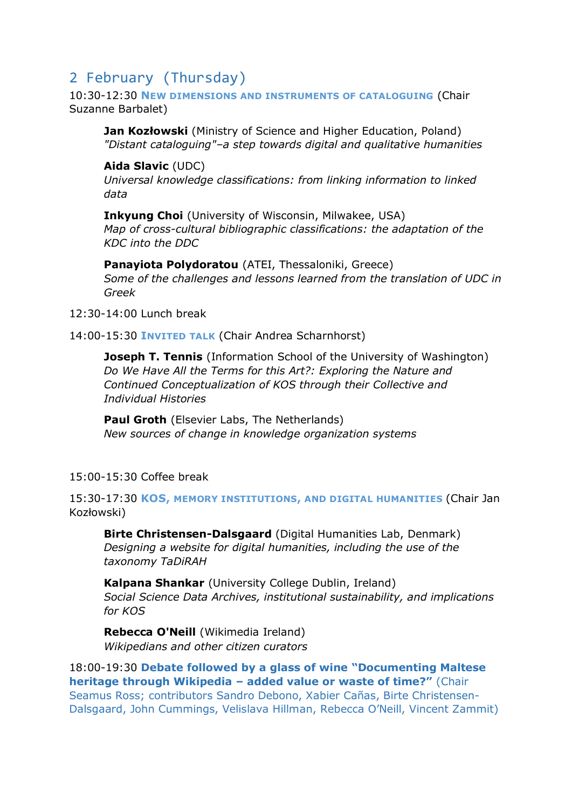## 2 February (Thursday)

10:30-12:30 **NEW DIMENSIONS AND INSTRUMENTS OF CATALOGUING** (Chair Suzanne Barbalet)

**Jan Kozłowski** (Ministry of Science and Higher Education, Poland) *"Distant cataloguing"–a step towards digital and qualitative humanities*

**Aida Slavic** (UDC)

*Universal knowledge classifications: from linking information to linked data*

**Inkyung Choi** (University of Wisconsin, Milwakee, USA) *Map of cross-cultural bibliographic classifications: the adaptation of the KDC into the DDC*

**Panayiota Polydoratou** (ATEI, Thessaloniki, Greece) *Some of the challenges and lessons learned from the translation of UDC in Greek*

12:30-14:00 Lunch break

14:00-15:30 **INVITED TALK** (Chair Andrea Scharnhorst)

**Joseph T. Tennis** (Information School of the University of Washington) *Do We Have All the Terms for this Art?: Exploring the Nature and Continued Conceptualization of KOS through their Collective and Individual Histories*

**Paul Groth** (Elsevier Labs, The Netherlands) *New sources of change in knowledge organization systems*

15:00-15:30 Coffee break

15:30-17:30 **KOS, MEMORY INSTITUTIONS, AND DIGITAL HUMANITIES** (Chair Jan Kozłowski)

**Birte Christensen-Dalsgaard** (Digital Humanities Lab, Denmark) *Designing a website for digital humanities, including the use of the taxonomy TaDiRAH*

**Kalpana Shankar** (University College Dublin, Ireland) *Social Science Data Archives, institutional sustainability, and implications for KOS*

**Rebecca O'Neill** (Wikimedia Ireland) *Wikipedians and other citizen curators* 

18:00-19:30 **Debate followed by a glass of wine "Documenting Maltese heritage through Wikipedia – added value or waste of time?"** (Chair Seamus Ross; contributors Sandro Debono, Xabier Cañas, Birte Christensen-Dalsgaard, John Cummings, Velislava Hillman, Rebecca O'Neill, Vincent Zammit)